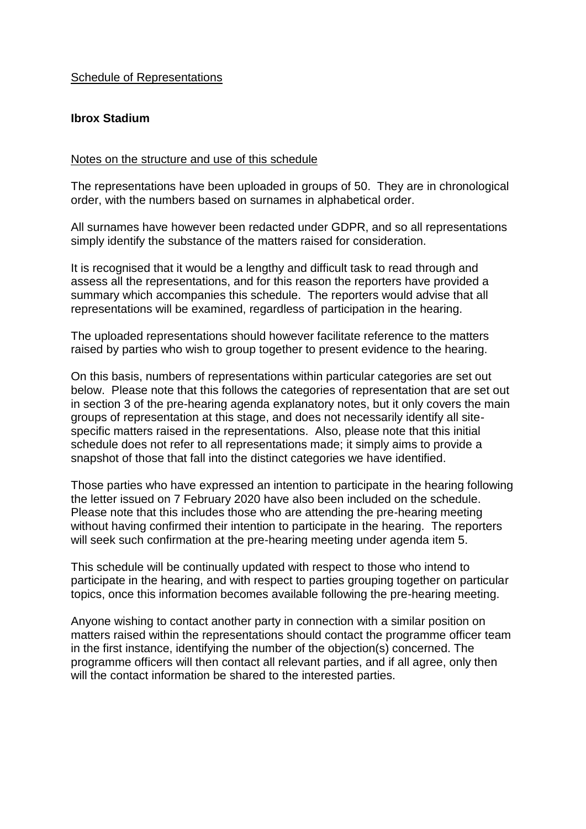# Schedule of Representations

## **Ibrox Stadium**

### Notes on the structure and use of this schedule

The representations have been uploaded in groups of 50. They are in chronological order, with the numbers based on surnames in alphabetical order.

All surnames have however been redacted under GDPR, and so all representations simply identify the substance of the matters raised for consideration.

It is recognised that it would be a lengthy and difficult task to read through and assess all the representations, and for this reason the reporters have provided a summary which accompanies this schedule. The reporters would advise that all representations will be examined, regardless of participation in the hearing.

The uploaded representations should however facilitate reference to the matters raised by parties who wish to group together to present evidence to the hearing.

On this basis, numbers of representations within particular categories are set out below. Please note that this follows the categories of representation that are set out in section 3 of the pre-hearing agenda explanatory notes, but it only covers the main groups of representation at this stage, and does not necessarily identify all sitespecific matters raised in the representations. Also, please note that this initial schedule does not refer to all representations made; it simply aims to provide a snapshot of those that fall into the distinct categories we have identified.

Those parties who have expressed an intention to participate in the hearing following the letter issued on 7 February 2020 have also been included on the schedule. Please note that this includes those who are attending the pre-hearing meeting without having confirmed their intention to participate in the hearing. The reporters will seek such confirmation at the pre-hearing meeting under agenda item 5.

This schedule will be continually updated with respect to those who intend to participate in the hearing, and with respect to parties grouping together on particular topics, once this information becomes available following the pre-hearing meeting.

Anyone wishing to contact another party in connection with a similar position on matters raised within the representations should contact the programme officer team in the first instance, identifying the number of the objection(s) concerned. The programme officers will then contact all relevant parties, and if all agree, only then will the contact information be shared to the interested parties.